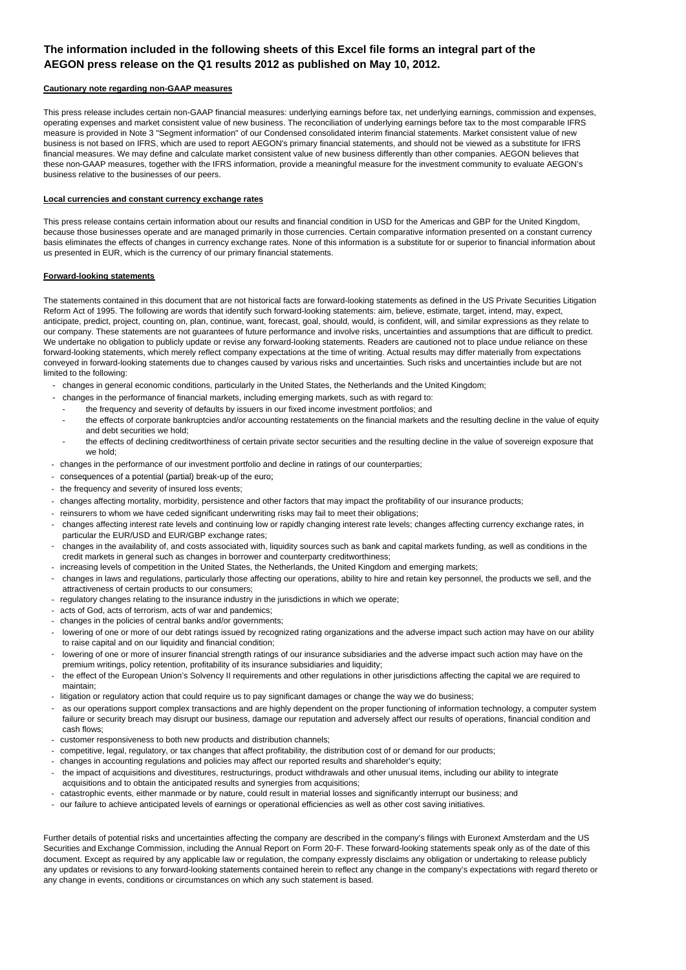### **The information included in the following sheets of this Excel file forms an integral part of the AEGON press release on the Q1 results 2012 as published on May 10, 2012.**

#### **Cautionary note regarding non-GAAP measures**

This press release includes certain non-GAAP financial measures: underlying earnings before tax, net underlying earnings, commission and expenses, operating expenses and market consistent value of new business. The reconciliation of underlying earnings before tax to the most comparable IFRS measure is provided in Note 3 "Segment information" of our Condensed consolidated interim financial statements. Market consistent value of new business is not based on IFRS, which are used to report AEGON's primary financial statements, and should not be viewed as a substitute for IFRS financial measures. We may define and calculate market consistent value of new business differently than other companies. AEGON believes that these non-GAAP measures, together with the IFRS information, provide a meaningful measure for the investment community to evaluate AEGON's business relative to the businesses of our peers.

#### **Local currencies and constant currency exchange rates**

This press release contains certain information about our results and financial condition in USD for the Americas and GBP for the United Kingdom, because those businesses operate and are managed primarily in those currencies. Certain comparative information presented on a constant currency basis eliminates the effects of changes in currency exchange rates. None of this information is a substitute for or superior to financial information about us presented in EUR, which is the currency of our primary financial statements.

#### **Forward-looking statements**

The statements contained in this document that are not historical facts are forward-looking statements as defined in the US Private Securities Litigation Reform Act of 1995. The following are words that identify such forward-looking statements: aim, believe, estimate, target, intend, may, expect, anticipate, predict, project, counting on, plan, continue, want, forecast, goal, should, would, is confident, will, and similar expressions as they relate to our company. These statements are not guarantees of future performance and involve risks, uncertainties and assumptions that are difficult to predict. We undertake no obligation to publicly update or revise any forward-looking statements. Readers are cautioned not to place undue reliance on these forward-looking statements, which merely reflect company expectations at the time of writing. Actual results may differ materially from expectations conveyed in forward-looking statements due to changes caused by various risks and uncertainties. Such risks and uncertainties include but are not limited to the following:

- changes in general economic conditions, particularly in the United States, the Netherlands and the United Kingdom;
- - changes in the performance of financial markets, including emerging markets, such as with regard to:
	- the frequency and severity of defaults by issuers in our fixed income investment portfolios; and
	- the effects of corporate bankruptcies and/or accounting restatements on the financial markets and the resulting decline in the value of equity and debt securities we hold;
	- the effects of declining creditworthiness of certain private sector securities and the resulting decline in the value of sovereign exposure that we hold;
- changes in the performance of our investment portfolio and decline in ratings of our counterparties;
- consequences of a potential (partial) break-up of the euro;
- the frequency and severity of insured loss events;
- changes affecting mortality, morbidity, persistence and other factors that may impact the profitability of our insurance products;
- reinsurers to whom we have ceded significant underwriting risks may fail to meet their obligations;
- changes affecting interest rate levels and continuing low or rapidly changing interest rate levels; changes affecting currency exchange rates, in particular the EUR/USD and EUR/GBP exchange rates;
- changes in the availability of, and costs associated with, liquidity sources such as bank and capital markets funding, as well as conditions in the credit markets in general such as changes in borrower and counterparty creditworthiness;
- increasing levels of competition in the United States, the Netherlands, the United Kingdom and emerging markets;
- changes in laws and regulations, particularly those affecting our operations, ability to hire and retain key personnel, the products we sell, and the attractiveness of certain products to our consumers;
- regulatory changes relating to the insurance industry in the jurisdictions in which we operate;
- acts of God, acts of terrorism, acts of war and pandemics;
- changes in the policies of central banks and/or governments;
- lowering of one or more of our debt ratings issued by recognized rating organizations and the adverse impact such action may have on our ability to raise capital and on our liquidity and financial condition;
- lowering of one or more of insurer financial strength ratings of our insurance subsidiaries and the adverse impact such action may have on the premium writings, policy retention, profitability of its insurance subsidiaries and liquidity;
- the effect of the European Union's Solvency II requirements and other regulations in other jurisdictions affecting the capital we are required to maintain;
- litigation or regulatory action that could require us to pay significant damages or change the way we do business;
- as our operations support complex transactions and are highly dependent on the proper functioning of information technology, a computer system failure or security breach may disrupt our business, damage our reputation and adversely affect our results of operations, financial condition and cash flows;
- customer responsiveness to both new products and distribution channels;
- competitive, legal, regulatory, or tax changes that affect profitability, the distribution cost of or demand for our products;
- changes in accounting regulations and policies may affect our reported results and shareholder's equity;
- the impact of acquisitions and divestitures, restructurings, product withdrawals and other unusual items, including our ability to integrate acquisitions and to obtain the anticipated results and synergies from acquisitions;
- catastrophic events, either manmade or by nature, could result in material losses and significantly interrupt our business; and
- our failure to achieve anticipated levels of earnings or operational efficiencies as well as other cost saving initiatives.

Further details of potential risks and uncertainties affecting the company are described in the company's filings with Euronext Amsterdam and the US Securities and Exchange Commission, including the Annual Report on Form 20-F. These forward-looking statements speak only as of the date of this document. Except as required by any applicable law or regulation, the company expressly disclaims any obligation or undertaking to release publicly any updates or revisions to any forward-looking statements contained herein to reflect any change in the company's expectations with regard thereto or any change in events, conditions or circumstances on which any such statement is based.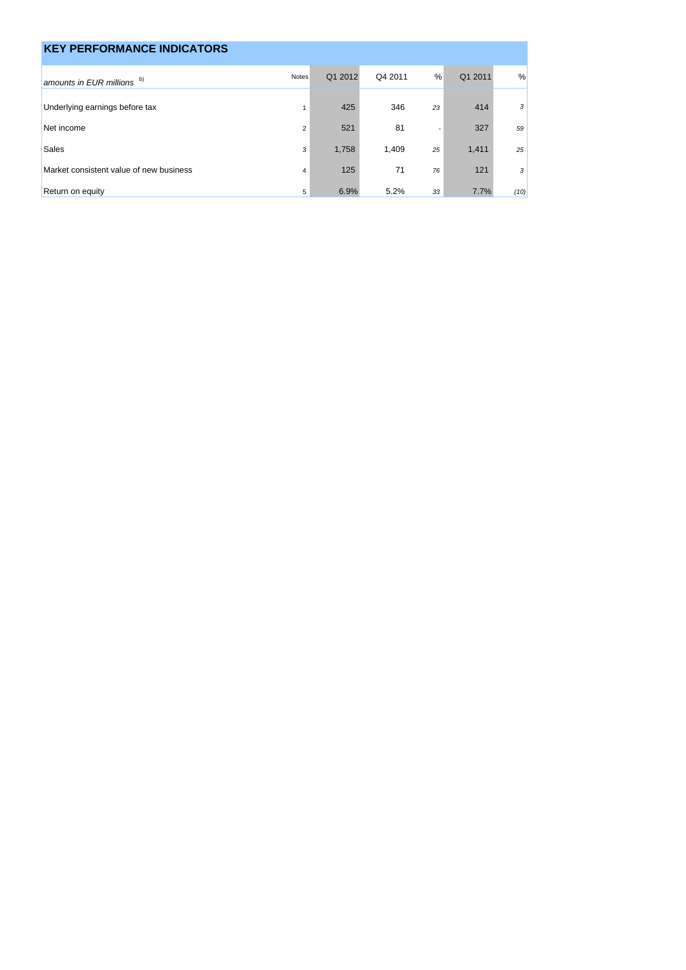| <b>KEY PERFORMANCE INDICATORS</b>       |                |         |         |    |         |      |
|-----------------------------------------|----------------|---------|---------|----|---------|------|
| amounts in EUR millions b)              | <b>Notes</b>   | Q1 2012 | Q4 2011 | %  | Q1 2011 | %    |
| Underlying earnings before tax          |                | 425     | 346     | 23 | 414     | 3    |
| Net income                              | $\overline{2}$ | 521     | 81      |    | 327     | 59   |
| <b>Sales</b>                            | 3              | 1,758   | 1.409   | 25 | 1,411   | 25   |
| Market consistent value of new business | $\overline{4}$ | 125     | 71      | 76 | 121     | 3    |
| Return on equity                        | 5              | 6.9%    | 5.2%    | 33 | 7.7%    | (10) |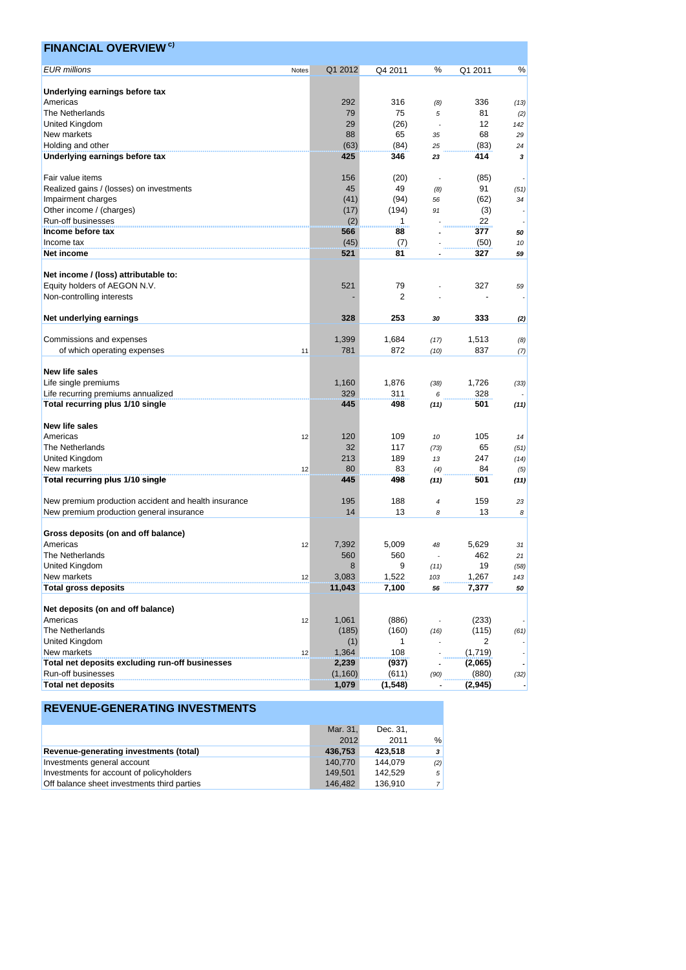| <b>FINANCIAL OVERVIEW<sup>c)</sup></b>               |       |                   |             |          |                |         |
|------------------------------------------------------|-------|-------------------|-------------|----------|----------------|---------|
| <b>EUR</b> millions                                  | Notes | Q1 2012           | Q4 2011     | %        | Q1 2011        | %       |
| Underlying earnings before tax                       |       |                   |             |          |                |         |
| Americas                                             |       | 292               | 316         | (8)      | 336            | (13)    |
| The Netherlands                                      |       | 79                | 75          | 5        | 81             |         |
| <b>United Kingdom</b>                                |       | 29                | (26)        |          | 12             | (2)     |
|                                                      |       |                   |             | ÷,       | 68             | 142     |
| New markets                                          |       | 88                | 65          | 35       |                | 29      |
| Holding and other<br>Underlying earnings before tax  |       | (63)<br>425       | (84)<br>346 | 25<br>23 | (83)<br>414    | 24<br>3 |
|                                                      |       |                   |             |          |                |         |
| Fair value items                                     |       | 156               | (20)        |          | (85)           |         |
| Realized gains / (losses) on investments             |       | 45                | 49          | (8)      | 91             | (51)    |
| Impairment charges                                   |       | (41)              | (94)        | 56       | (62)           | 34      |
| Other income / (charges)                             |       | (17)              | (194)       | 91       | (3)            |         |
| Run-off businesses                                   |       | (2)               | 1           |          | 22             |         |
| Income before tax                                    |       | 566               | 88          |          | 377            | 50      |
| Income tax                                           |       | (45)              | (7)         |          | (50)           | 10      |
| Net income                                           |       | 521               | 81          |          | 327            | 59      |
|                                                      |       |                   |             |          |                |         |
| Net income / (loss) attributable to:                 |       |                   |             |          |                |         |
| Equity holders of AEGON N.V.                         |       | 521               | 79          |          | 327            | 59      |
| Non-controlling interests                            |       |                   | 2           |          |                |         |
| Net underlying earnings                              |       | 328               | 253         | 30       | 333            | (2)     |
| Commissions and expenses                             |       | 1,399             | 1,684       | (17)     | 1,513          | (8)     |
| of which operating expenses                          | 11    | 781               | 872         | (10)     | 837            | (7)     |
|                                                      |       |                   |             |          |                |         |
| New life sales                                       |       |                   |             |          |                |         |
| Life single premiums                                 |       | 1,160             | 1,876       | (38)     | 1,726          | (33)    |
| Life recurring premiums annualized                   |       | 329               | 311         | 6        | 328            |         |
| Total recurring plus 1/10 single                     |       | 445               | 498         | (11)     | 501            | (11)    |
| <b>New life sales</b>                                |       |                   |             |          |                |         |
| Americas                                             | 12    | 120               | 109         | 10       | 105            | 14      |
| The Netherlands                                      |       | 32                | 117         | (73)     | 65             | (51)    |
| United Kingdom                                       |       | 213               | 189         | 13       | 247            | (14)    |
| New markets                                          | 12    | 80                | 83          | (4)      | 84             | (5)     |
| Total recurring plus 1/10 single                     |       | 445               | 498         | (11)     | 501            | (11)    |
|                                                      |       | 195               | 188         |          | 159            |         |
| New premium production accident and health insurance |       | 14                | 13          | 4        | 13             | 23      |
| New premium production general insurance             |       |                   |             | 8        |                | 8       |
| Gross deposits (on and off balance)                  |       |                   |             |          |                |         |
| Americas                                             | 12    | 7,392             | 5,009       | 48       | 5,629          | 31      |
| The Netherlands                                      |       | 560               | 560         |          | 462            | 21      |
| United Kingdom                                       |       | 8                 | 9           | (11)     | 19             | (58)    |
| New markets                                          | 12    | 3,083             | 1,522       | 103      | 1,267          | 143     |
| <b>Total gross deposits</b>                          |       | 11,043            | 7,100       | 56       | 7,377          | 50      |
| Net deposits (on and off balance)                    |       |                   |             |          |                |         |
| Americas                                             | 12    | 1,061             | (886)       |          | (233)          |         |
| The Netherlands                                      |       | (185)             | (160)       | (16)     | (115)          | (61)    |
| United Kingdom                                       |       | (1)               | 1           |          | $\overline{2}$ |         |
| New markets                                          |       | 1,364             | 108         |          | (1,719)        |         |
| Total net deposits excluding run-off businesses      | 12    |                   |             |          |                |         |
| Run-off businesses                                   |       | 2,239<br>(1, 160) | (937)       |          | (2,065)        |         |
| <b>Total net deposits</b>                            |       | 1,079             | (611)       | (90)     | (880)          | (32)    |
|                                                      |       |                   | (1, 548)    |          | (2, 945)       |         |

|                                             | Mar. 31, | Dec. 31. |                |
|---------------------------------------------|----------|----------|----------------|
|                                             | 2012     | 2011     | $\frac{0}{0}$  |
| Revenue-generating investments (total)      | 436.753  | 423.518  | 3              |
| Investments general account                 | 140.770  | 144.079  | (2)            |
| Investments for account of policyholders    | 149.501  | 142.529  | $\sqrt{2}$     |
| Off balance sheet investments third parties | 146.482  | 136.910  | $\overline{7}$ |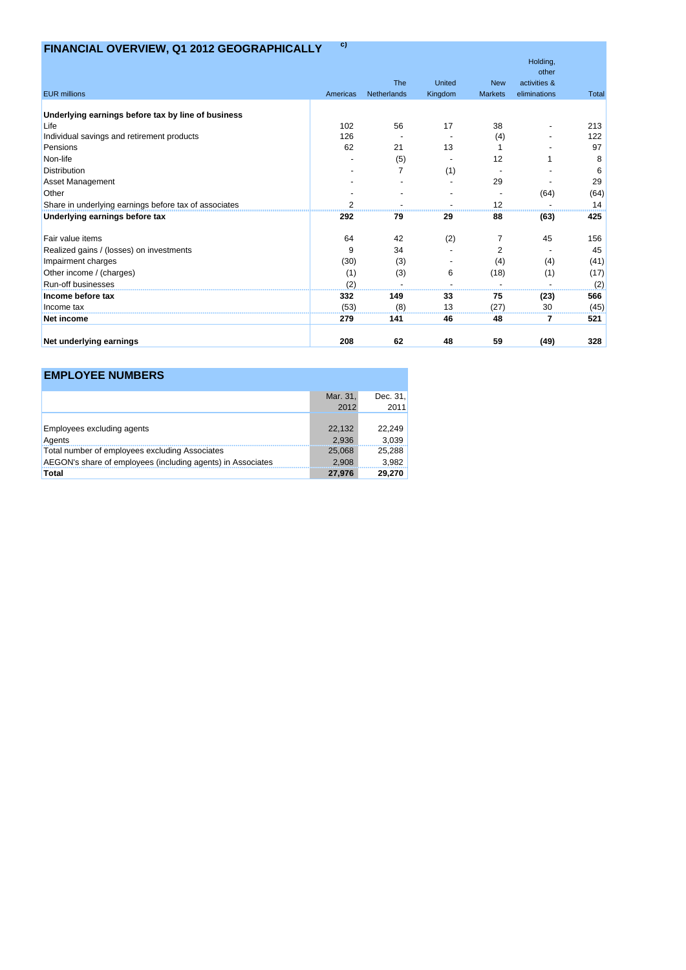# **FINANCIAL OVERVIEW, Q1 2012 GEOGRAPHICALLY c)**

|                                                       |          |                |         |                | Holding,<br>other |              |
|-------------------------------------------------------|----------|----------------|---------|----------------|-------------------|--------------|
|                                                       |          | The            | United  | <b>New</b>     | activities &      |              |
| <b>EUR</b> millions                                   | Americas | Netherlands    | Kingdom | <b>Markets</b> | eliminations      | <b>Total</b> |
| Underlying earnings before tax by line of business    |          |                |         |                |                   |              |
| Life                                                  | 102      | 56             | 17      | 38             |                   | 213          |
| Individual savings and retirement products            | 126      |                |         | (4)            |                   | 122          |
| Pensions                                              | 62       | 21             | 13      |                |                   | 97           |
| Non-life                                              |          | (5)            |         | 12             |                   | 8            |
| <b>Distribution</b>                                   |          | $\overline{7}$ | (1)     |                |                   | 6            |
| <b>Asset Management</b>                               |          |                |         | 29             |                   | 29           |
| Other                                                 |          |                |         |                | (64)              | (64)         |
| Share in underlying earnings before tax of associates | 2        |                |         | 12             |                   | 14           |
| Underlying earnings before tax                        | 292      | 79             | 29      | 88             | (63)              | 425          |
| Fair value items                                      | 64       | 42             | (2)     | 7              | 45                | 156          |
| Realized gains / (losses) on investments              | 9        | 34             |         | 2              |                   | 45           |
| Impairment charges                                    | (30)     | (3)            |         | (4)            | (4)               | (41)         |
| Other income / (charges)                              | (1)      | (3)            | 6       | (18)           | (1)               | (17)         |
| Run-off businesses                                    | (2)      |                |         |                |                   | (2)          |
| Income before tax                                     | 332      | 149            | 33      | 75             | (23)              | 566          |
| Income tax                                            | (53)     | (8)            | 13      | (27)           | 30                | (45)         |
| <b>Net income</b>                                     | 279      | 141            | 46      | 48             | 7                 | 521          |
| Net underlying earnings                               | 208      | 62             | 48      | 59             | (49)              | 328          |

## **EMPLOYEE NUMBERS**

|                                                             | Mar. 31, | Dec. $31$ . |
|-------------------------------------------------------------|----------|-------------|
|                                                             | 2012     | 2011        |
|                                                             |          |             |
| <b>Employees excluding agents</b>                           | 22,132   | 22,249      |
| Agents                                                      | 2.936    | 3,039       |
| Total number of employees excluding Associates              | 25,068   | 25,288      |
| AEGON's share of employees (including agents) in Associates | 2.908    | 3,982       |
| Total                                                       | 27,976   | 29,270      |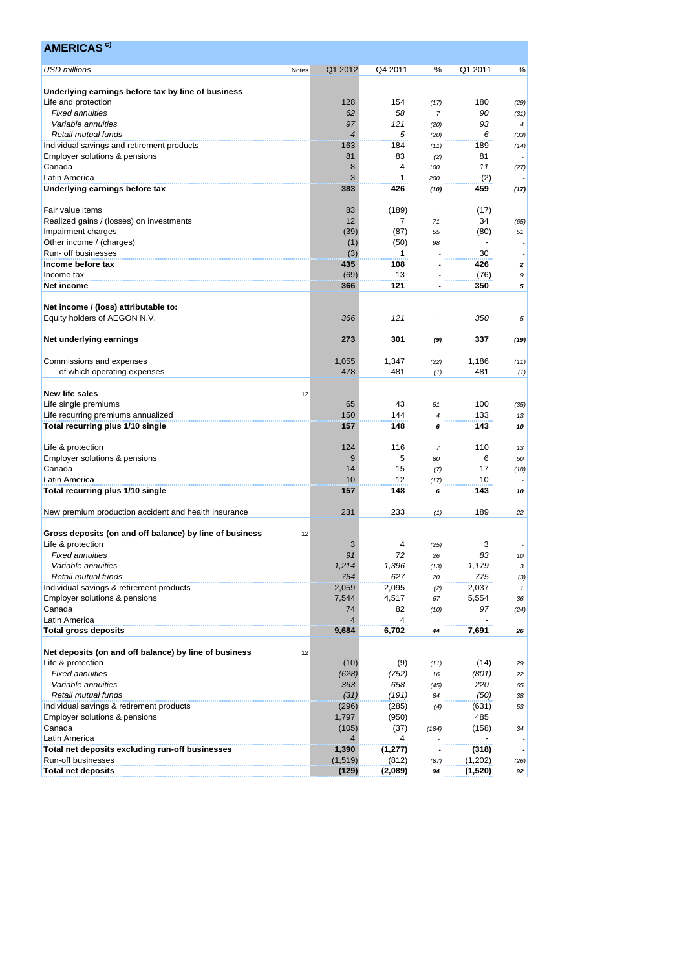| <b>AMERICAS<sup>c)</sup></b>                                                |                |           |                        |             |                       |
|-----------------------------------------------------------------------------|----------------|-----------|------------------------|-------------|-----------------------|
| <b>USD millions</b><br>Notes                                                | Q1 2012        | Q4 2011   | %                      | Q1 2011     | %                     |
|                                                                             |                |           |                        |             |                       |
| Underlying earnings before tax by line of business                          | 128            | 154       |                        | 180         |                       |
| Life and protection<br><b>Fixed annuities</b>                               | 62             | 58        | (17)<br>$\overline{7}$ | 90          | (29)                  |
| Variable annuities                                                          | 97             | 121       |                        | 93          | (31)                  |
| Retail mutual funds                                                         | $\overline{4}$ | 5         | (20)                   | 6           | 4                     |
|                                                                             | 163            | 184       | (20)                   | 189         | (33)                  |
| Individual savings and retirement products<br>Employer solutions & pensions | 81             | 83        | (11)                   | 81          | (14)                  |
| Canada                                                                      | 8              | 4         | (2)<br>100             | 11          |                       |
| Latin America                                                               | 3              | 1         |                        | (2)         | (27)                  |
|                                                                             | 383            | 426       | 200                    | 459         |                       |
| Underlying earnings before tax                                              |                |           | (10)                   |             | (17)                  |
| Fair value items                                                            | 83             | (189)     | ٠.                     | (17)        |                       |
| Realized gains / (losses) on investments                                    | 12             | 7         | 71                     | 34          |                       |
|                                                                             | (39)           | (87)      | 55                     | (80)        | (65)<br>51            |
| Impairment charges<br>Other income / (charges)                              |                | (50)      | 98                     |             |                       |
| Run- off businesses                                                         | (1)<br>(3)     | 1         |                        | 30          |                       |
|                                                                             |                |           |                        |             |                       |
| Income before tax                                                           | 435<br>(69)    | 108<br>13 |                        | 426         | 2                     |
| Income tax<br>Net income                                                    | 366            | 121       |                        | (76)<br>350 | $\boldsymbol{9}$<br>5 |
|                                                                             |                |           |                        |             |                       |
| Net income / (loss) attributable to:                                        |                |           |                        |             |                       |
| Equity holders of AEGON N.V.                                                | 366            | 121       |                        | 350         | 5                     |
|                                                                             |                |           |                        |             |                       |
| Net underlying earnings                                                     | 273            | 301       | (9)                    | 337         | (19)                  |
|                                                                             |                |           |                        |             |                       |
| Commissions and expenses                                                    | 1,055          | 1,347     | (22)                   | 1,186       | (11)                  |
| of which operating expenses                                                 | 478            | 481       |                        | 481         |                       |
|                                                                             |                |           | (1)                    |             | (1)                   |
| New life sales<br>12                                                        |                |           |                        |             |                       |
| Life single premiums                                                        | 65             | 43        | 51                     | 100         |                       |
|                                                                             | 150            | 144       |                        | 133         | (35)                  |
| Life recurring premiums annualized                                          |                | 148       | 4                      | 143         | 13                    |
| Total recurring plus 1/10 single                                            | 157            |           | 6                      |             | 10                    |
|                                                                             |                |           |                        |             |                       |
| Life & protection                                                           | 124            | 116       | $\overline{7}$         | 110         | 13                    |
| Employer solutions & pensions                                               | 9              | 5         | 80                     | 6           | 50                    |
| Canada                                                                      | 14             | 15        | (7)                    | 17          | (18)                  |
| Latin America                                                               | 10             | 12        | (17)                   | 10          |                       |
| Total recurring plus 1/10 single                                            | 157            | 148       | 6                      | 143         | 10                    |
|                                                                             |                |           |                        |             |                       |
| New premium production accident and health insurance                        | 231            | 233       | (1)                    | 189         | 22                    |
|                                                                             |                |           |                        |             |                       |
| Gross deposits (on and off balance) by line of business<br>12               |                |           |                        |             |                       |
| Life & protection                                                           | 3<br>91        | 4         | (25)                   | 3           |                       |
| <b>Fixed annuities</b>                                                      |                | 72        | 26                     | 83          | 10                    |
| Variable annuities                                                          | 1,214          | 1,396     | (13)                   | 1,179       | $\sqrt{3}$            |
| Retail mutual funds                                                         | 754            | 627       | 20                     | 775         | (3)                   |
| Individual savings & retirement products                                    | 2,059          | 2,095     | (2)                    | 2,037       | $\mathbf{1}$          |
| Employer solutions & pensions                                               | 7,544          | 4,517     | 67                     | 5,554       | 36                    |
| Canada                                                                      | 74             | 82        | (10)                   | 97          | (24)                  |
| Latin America                                                               | $\overline{4}$ | 4         |                        |             |                       |
| <b>Total gross deposits</b>                                                 | 9,684          | 6,702     | 44                     | 7,691       | 26                    |
|                                                                             |                |           |                        |             |                       |
| Net deposits (on and off balance) by line of business<br>12                 |                |           |                        |             |                       |
| Life & protection                                                           | (10)           | (9)       | (11)                   | (14)        | 29                    |
| <b>Fixed annuities</b>                                                      | (628)          | (752)     | 16                     | (801)       | 22                    |
| Variable annuities                                                          | 363            | 658       | (45)                   | 220         | 65                    |
| Retail mutual funds                                                         | (31)           | (191)     | 84                     | (50)        | 38                    |
| Individual savings & retirement products                                    | (296)          | (285)     | (4)                    | (631)       | 53                    |
| Employer solutions & pensions                                               | 1,797          | (950)     |                        | 485         |                       |
| Canada                                                                      | (105)          | (37)      | (184)                  | (158)       | 34                    |
| Latin America                                                               | $\overline{4}$ | 4         |                        |             |                       |
| Total net deposits excluding run-off businesses                             | 1,390          | (1, 277)  |                        | (318)       |                       |
| Run-off businesses                                                          | (1, 519)       | (812)     | (87)                   | (1,202)     | (26)                  |
| <b>Total net deposits</b>                                                   | (129)          | (2,089)   | 94                     | (1,520)     | 92                    |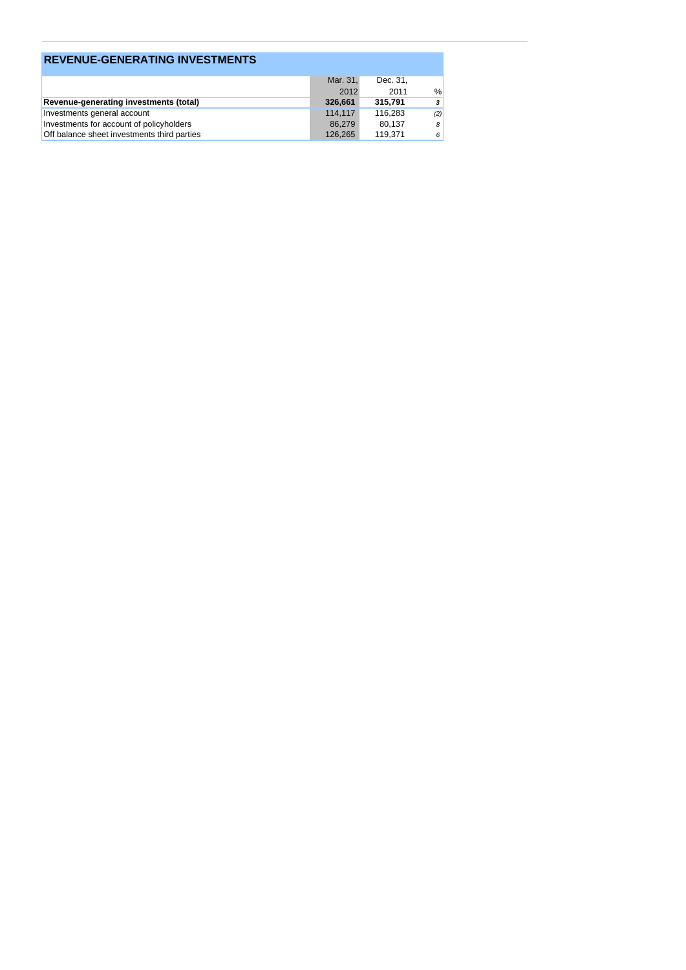| <b>REVENUE-GENERATING INVESTMENTS</b>       |          |          |      |
|---------------------------------------------|----------|----------|------|
|                                             | Mar. 31. | Dec. 31, |      |
|                                             | 2012     | 2011     | $\%$ |
| Revenue-generating investments (total)      | 326,661  | 315,791  | 3    |
| Investments general account                 | 114.117  | 116.283  | (2)  |
| Investments for account of policyholders    | 86.279   | 80,137   | 8    |
| Off balance sheet investments third parties | 126.265  | 119.371  | 6    |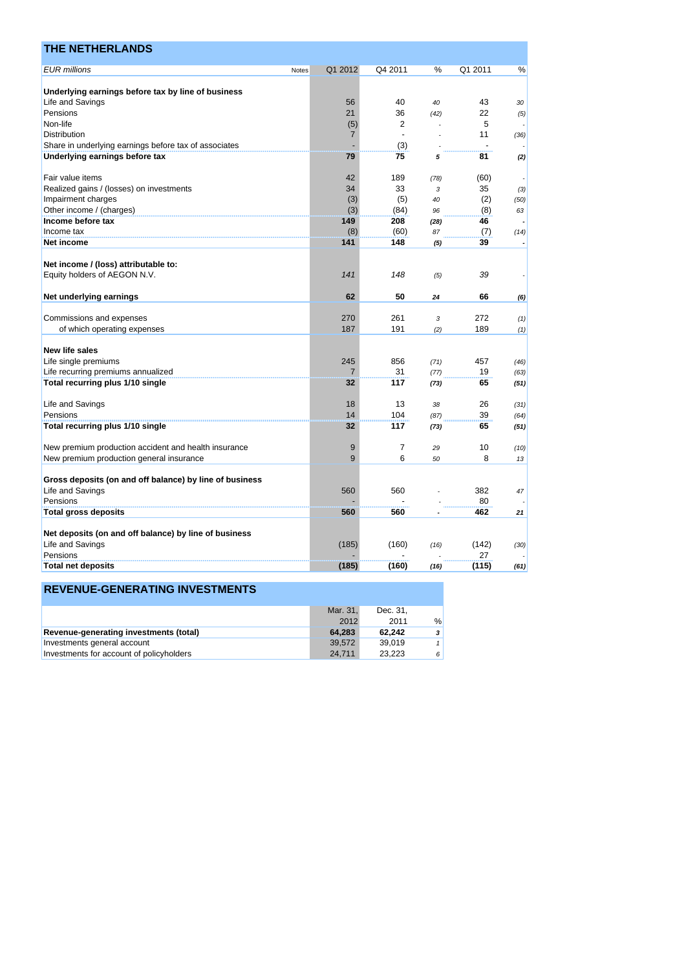| <b>THE NETHERLANDS</b>                                  |       |                |                |      |         |                          |
|---------------------------------------------------------|-------|----------------|----------------|------|---------|--------------------------|
| <b>EUR</b> millions                                     | Notes | Q1 2012        | Q4 2011        | %    | Q1 2011 | %                        |
|                                                         |       |                |                |      |         |                          |
| Underlying earnings before tax by line of business      |       |                |                |      |         |                          |
| Life and Savings                                        |       | 56             | 40             | 40   | 43      | 30                       |
| Pensions                                                |       | 21             | 36             | (42) | 22      | (5)                      |
| Non-life                                                |       | (5)            | 2              |      | 5       |                          |
| Distribution                                            |       | $\overline{7}$ |                |      | 11      | (36)                     |
| Share in underlying earnings before tax of associates   |       |                | (3)            |      |         |                          |
| Underlying earnings before tax                          |       | 79             | 75             | 5    | 81      | (2)                      |
| Fair value items                                        |       | 42             | 189            | (78) | (60)    |                          |
| Realized gains / (losses) on investments                |       | 34             | 33             | 3    | 35      | (3)                      |
| Impairment charges                                      |       | (3)            | (5)            | 40   | (2)     | (50)                     |
| Other income / (charges)                                |       | (3)            | (84)           | 96   | (8)     | 63                       |
| Income before tax                                       |       | 149            | 208            | (28) | 46      |                          |
| Income tax                                              |       | (8)            | (60)           | 87   | (7)     | (14)                     |
| <b>Net income</b>                                       |       | 141            | 148            | (5)  | 39      | $\overline{\phantom{a}}$ |
| Net income / (loss) attributable to:                    |       |                |                |      |         |                          |
| Equity holders of AEGON N.V.                            |       | 141            | 148            | (5)  | 39      |                          |
| Net underlying earnings                                 |       | 62             | 50             | 24   | 66      | (6)                      |
|                                                         |       |                | 261            |      | 272     |                          |
| Commissions and expenses                                |       | 270            |                | 3    |         | (1)                      |
| of which operating expenses                             |       | 187            | 191            | (2)  | 189     | (1)                      |
| New life sales                                          |       |                |                |      |         |                          |
| Life single premiums                                    |       | 245            | 856            | (71) | 457     | (46)                     |
| Life recurring premiums annualized                      |       | 7              | 31             | (77) | 19      | (63)                     |
| Total recurring plus 1/10 single                        |       | 32             | 117            | (73) | 65      | (51)                     |
| Life and Savings                                        |       | 18             | 13             | 38   | 26      | (31)                     |
| Pensions                                                |       | 14             | 104            | (87) | 39      | (64)                     |
| Total recurring plus 1/10 single                        |       | 32             | 117            | (73) | 65      | (51)                     |
| New premium production accident and health insurance    |       | 9              | $\overline{7}$ | 29   | 10      | (10)                     |
| New premium production general insurance                |       | 9              | 6              | 50   | 8       | 13                       |
| Gross deposits (on and off balance) by line of business |       |                |                |      |         |                          |
| Life and Savings                                        |       | 560            | 560            |      | 382     | 47                       |
| Pensions                                                |       |                |                |      | 80      |                          |
| <b>Total gross deposits</b>                             |       | 560            | 560            |      | 462     | 21                       |
|                                                         |       |                |                |      |         |                          |
| Net deposits (on and off balance) by line of business   |       |                |                |      |         |                          |
| Life and Savings                                        |       | (185)          | (160)          | (16) | (142)   | (30)                     |
| Pensions                                                |       |                |                |      | 27      |                          |
| <b>Total net deposits</b>                               |       | (185)          | (160)          | (16) | (115)   | (61)                     |

|                                          | Mar. 31. | Dec. 31. |               |
|------------------------------------------|----------|----------|---------------|
|                                          | 2012     | 2011     | $\frac{0}{0}$ |
| Revenue-generating investments (total)   | 64.283   | 62.242   | 3             |
| Investments general account              | 39.572   | 39.019   |               |
| Investments for account of policyholders | 24.711   | 23.223   | 6             |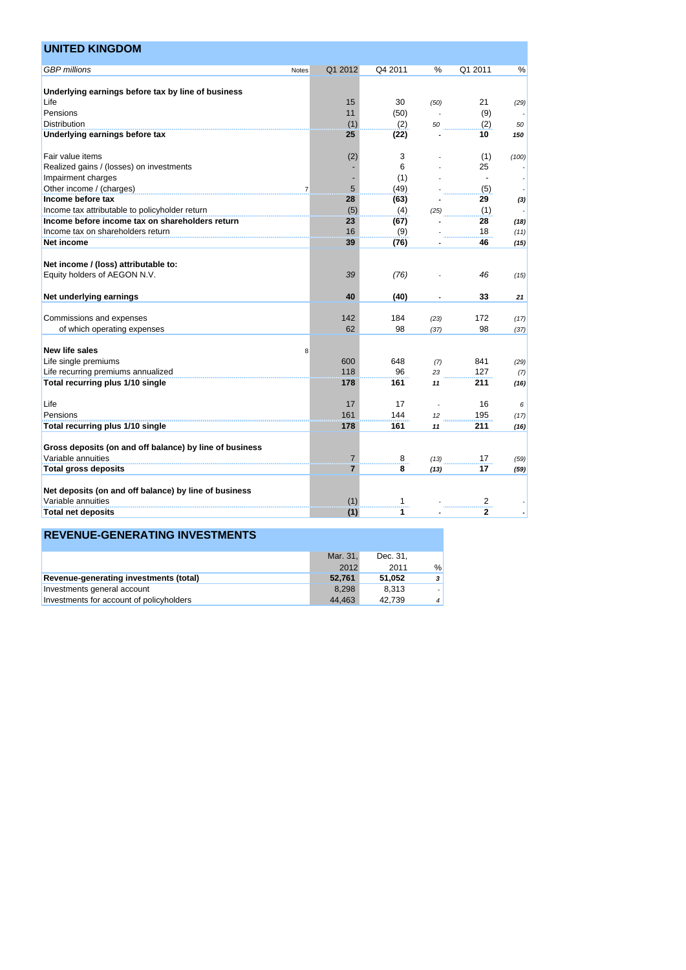| <b>GBP</b> millions<br>Q4 2011<br>Q1 2011<br>Q1 2012<br>$\%$<br>$\%$<br>Notes<br>Underlying earnings before tax by line of business<br>Life<br>15<br>30<br>21<br>(50)<br>(29)<br>Pensions<br>11<br>(9)<br>(50)<br>Distribution<br>(1)<br>(2)<br>(2)<br>50<br>50<br>Underlying earnings before tax<br>25<br>(22)<br>10<br>150<br>(2)<br>3<br>(1)<br>(100)<br>6<br>25<br>(1)<br>5<br>(49)<br>(5)<br>$\overline{7}$<br>28<br>(63)<br>29<br>(3)<br>(5)<br>(4)<br>(1)<br>(25)<br>23<br>(67)<br>28<br>(18)<br>16<br>Income tax on shareholders return<br>(9)<br>18<br>(11)<br>39<br>Net income<br>46<br>(76)<br>(15)<br>Net income / (loss) attributable to:<br>39<br>(76)<br>46<br>(15)<br>40<br>(40)<br>33<br>21<br>142<br>184<br>Commissions and expenses<br>172<br>(23)<br>(17)<br>62<br>98<br>98<br>of which operating expenses<br>(37)<br>(37)<br>8<br>600<br>648<br>841<br>(7)<br>(29)<br>118<br>Life recurring premiums annualized<br>96<br>127<br>23<br>(7)<br>Total recurring plus 1/10 single<br>178<br>161<br>211<br>11<br>(16)<br>17<br>17<br>16<br>Life<br>6<br>161<br>Pensions<br>144<br>195<br>(17)<br>12<br>178<br>161<br>211<br>11<br>(16)<br>Gross deposits (on and off balance) by line of business<br>Variable annuities<br>17<br>8<br>7<br>(59)<br>(13)<br>17<br><b>Total gross deposits</b><br>7<br>8<br>(59)<br>(13)<br>Net deposits (on and off balance) by line of business<br>Variable annuities<br>$\overline{c}$<br>(1)<br>1<br>$\overline{2}$<br>1<br>(1)<br><b>Total net deposits</b> | <b>UNITED KINGDOM</b>                           |  |  |  |
|----------------------------------------------------------------------------------------------------------------------------------------------------------------------------------------------------------------------------------------------------------------------------------------------------------------------------------------------------------------------------------------------------------------------------------------------------------------------------------------------------------------------------------------------------------------------------------------------------------------------------------------------------------------------------------------------------------------------------------------------------------------------------------------------------------------------------------------------------------------------------------------------------------------------------------------------------------------------------------------------------------------------------------------------------------------------------------------------------------------------------------------------------------------------------------------------------------------------------------------------------------------------------------------------------------------------------------------------------------------------------------------------------------------------------------------------------------------------------------------------------------------|-------------------------------------------------|--|--|--|
|                                                                                                                                                                                                                                                                                                                                                                                                                                                                                                                                                                                                                                                                                                                                                                                                                                                                                                                                                                                                                                                                                                                                                                                                                                                                                                                                                                                                                                                                                                                |                                                 |  |  |  |
|                                                                                                                                                                                                                                                                                                                                                                                                                                                                                                                                                                                                                                                                                                                                                                                                                                                                                                                                                                                                                                                                                                                                                                                                                                                                                                                                                                                                                                                                                                                |                                                 |  |  |  |
|                                                                                                                                                                                                                                                                                                                                                                                                                                                                                                                                                                                                                                                                                                                                                                                                                                                                                                                                                                                                                                                                                                                                                                                                                                                                                                                                                                                                                                                                                                                |                                                 |  |  |  |
|                                                                                                                                                                                                                                                                                                                                                                                                                                                                                                                                                                                                                                                                                                                                                                                                                                                                                                                                                                                                                                                                                                                                                                                                                                                                                                                                                                                                                                                                                                                |                                                 |  |  |  |
|                                                                                                                                                                                                                                                                                                                                                                                                                                                                                                                                                                                                                                                                                                                                                                                                                                                                                                                                                                                                                                                                                                                                                                                                                                                                                                                                                                                                                                                                                                                |                                                 |  |  |  |
|                                                                                                                                                                                                                                                                                                                                                                                                                                                                                                                                                                                                                                                                                                                                                                                                                                                                                                                                                                                                                                                                                                                                                                                                                                                                                                                                                                                                                                                                                                                |                                                 |  |  |  |
|                                                                                                                                                                                                                                                                                                                                                                                                                                                                                                                                                                                                                                                                                                                                                                                                                                                                                                                                                                                                                                                                                                                                                                                                                                                                                                                                                                                                                                                                                                                |                                                 |  |  |  |
|                                                                                                                                                                                                                                                                                                                                                                                                                                                                                                                                                                                                                                                                                                                                                                                                                                                                                                                                                                                                                                                                                                                                                                                                                                                                                                                                                                                                                                                                                                                | Fair value items                                |  |  |  |
|                                                                                                                                                                                                                                                                                                                                                                                                                                                                                                                                                                                                                                                                                                                                                                                                                                                                                                                                                                                                                                                                                                                                                                                                                                                                                                                                                                                                                                                                                                                | Realized gains / (losses) on investments        |  |  |  |
|                                                                                                                                                                                                                                                                                                                                                                                                                                                                                                                                                                                                                                                                                                                                                                                                                                                                                                                                                                                                                                                                                                                                                                                                                                                                                                                                                                                                                                                                                                                | Impairment charges                              |  |  |  |
|                                                                                                                                                                                                                                                                                                                                                                                                                                                                                                                                                                                                                                                                                                                                                                                                                                                                                                                                                                                                                                                                                                                                                                                                                                                                                                                                                                                                                                                                                                                | Other income / (charges)                        |  |  |  |
|                                                                                                                                                                                                                                                                                                                                                                                                                                                                                                                                                                                                                                                                                                                                                                                                                                                                                                                                                                                                                                                                                                                                                                                                                                                                                                                                                                                                                                                                                                                | Income before tax                               |  |  |  |
|                                                                                                                                                                                                                                                                                                                                                                                                                                                                                                                                                                                                                                                                                                                                                                                                                                                                                                                                                                                                                                                                                                                                                                                                                                                                                                                                                                                                                                                                                                                | Income tax attributable to policyholder return  |  |  |  |
|                                                                                                                                                                                                                                                                                                                                                                                                                                                                                                                                                                                                                                                                                                                                                                                                                                                                                                                                                                                                                                                                                                                                                                                                                                                                                                                                                                                                                                                                                                                | Income before income tax on shareholders return |  |  |  |
|                                                                                                                                                                                                                                                                                                                                                                                                                                                                                                                                                                                                                                                                                                                                                                                                                                                                                                                                                                                                                                                                                                                                                                                                                                                                                                                                                                                                                                                                                                                |                                                 |  |  |  |
|                                                                                                                                                                                                                                                                                                                                                                                                                                                                                                                                                                                                                                                                                                                                                                                                                                                                                                                                                                                                                                                                                                                                                                                                                                                                                                                                                                                                                                                                                                                |                                                 |  |  |  |
|                                                                                                                                                                                                                                                                                                                                                                                                                                                                                                                                                                                                                                                                                                                                                                                                                                                                                                                                                                                                                                                                                                                                                                                                                                                                                                                                                                                                                                                                                                                |                                                 |  |  |  |
|                                                                                                                                                                                                                                                                                                                                                                                                                                                                                                                                                                                                                                                                                                                                                                                                                                                                                                                                                                                                                                                                                                                                                                                                                                                                                                                                                                                                                                                                                                                | Equity holders of AEGON N.V.                    |  |  |  |
|                                                                                                                                                                                                                                                                                                                                                                                                                                                                                                                                                                                                                                                                                                                                                                                                                                                                                                                                                                                                                                                                                                                                                                                                                                                                                                                                                                                                                                                                                                                | Net underlying earnings                         |  |  |  |
|                                                                                                                                                                                                                                                                                                                                                                                                                                                                                                                                                                                                                                                                                                                                                                                                                                                                                                                                                                                                                                                                                                                                                                                                                                                                                                                                                                                                                                                                                                                |                                                 |  |  |  |
|                                                                                                                                                                                                                                                                                                                                                                                                                                                                                                                                                                                                                                                                                                                                                                                                                                                                                                                                                                                                                                                                                                                                                                                                                                                                                                                                                                                                                                                                                                                |                                                 |  |  |  |
|                                                                                                                                                                                                                                                                                                                                                                                                                                                                                                                                                                                                                                                                                                                                                                                                                                                                                                                                                                                                                                                                                                                                                                                                                                                                                                                                                                                                                                                                                                                |                                                 |  |  |  |
|                                                                                                                                                                                                                                                                                                                                                                                                                                                                                                                                                                                                                                                                                                                                                                                                                                                                                                                                                                                                                                                                                                                                                                                                                                                                                                                                                                                                                                                                                                                | New life sales                                  |  |  |  |
|                                                                                                                                                                                                                                                                                                                                                                                                                                                                                                                                                                                                                                                                                                                                                                                                                                                                                                                                                                                                                                                                                                                                                                                                                                                                                                                                                                                                                                                                                                                | Life single premiums                            |  |  |  |
|                                                                                                                                                                                                                                                                                                                                                                                                                                                                                                                                                                                                                                                                                                                                                                                                                                                                                                                                                                                                                                                                                                                                                                                                                                                                                                                                                                                                                                                                                                                |                                                 |  |  |  |
|                                                                                                                                                                                                                                                                                                                                                                                                                                                                                                                                                                                                                                                                                                                                                                                                                                                                                                                                                                                                                                                                                                                                                                                                                                                                                                                                                                                                                                                                                                                |                                                 |  |  |  |
|                                                                                                                                                                                                                                                                                                                                                                                                                                                                                                                                                                                                                                                                                                                                                                                                                                                                                                                                                                                                                                                                                                                                                                                                                                                                                                                                                                                                                                                                                                                |                                                 |  |  |  |
|                                                                                                                                                                                                                                                                                                                                                                                                                                                                                                                                                                                                                                                                                                                                                                                                                                                                                                                                                                                                                                                                                                                                                                                                                                                                                                                                                                                                                                                                                                                |                                                 |  |  |  |
|                                                                                                                                                                                                                                                                                                                                                                                                                                                                                                                                                                                                                                                                                                                                                                                                                                                                                                                                                                                                                                                                                                                                                                                                                                                                                                                                                                                                                                                                                                                | Total recurring plus 1/10 single                |  |  |  |
|                                                                                                                                                                                                                                                                                                                                                                                                                                                                                                                                                                                                                                                                                                                                                                                                                                                                                                                                                                                                                                                                                                                                                                                                                                                                                                                                                                                                                                                                                                                |                                                 |  |  |  |
|                                                                                                                                                                                                                                                                                                                                                                                                                                                                                                                                                                                                                                                                                                                                                                                                                                                                                                                                                                                                                                                                                                                                                                                                                                                                                                                                                                                                                                                                                                                |                                                 |  |  |  |
|                                                                                                                                                                                                                                                                                                                                                                                                                                                                                                                                                                                                                                                                                                                                                                                                                                                                                                                                                                                                                                                                                                                                                                                                                                                                                                                                                                                                                                                                                                                |                                                 |  |  |  |
|                                                                                                                                                                                                                                                                                                                                                                                                                                                                                                                                                                                                                                                                                                                                                                                                                                                                                                                                                                                                                                                                                                                                                                                                                                                                                                                                                                                                                                                                                                                |                                                 |  |  |  |
|                                                                                                                                                                                                                                                                                                                                                                                                                                                                                                                                                                                                                                                                                                                                                                                                                                                                                                                                                                                                                                                                                                                                                                                                                                                                                                                                                                                                                                                                                                                |                                                 |  |  |  |
|                                                                                                                                                                                                                                                                                                                                                                                                                                                                                                                                                                                                                                                                                                                                                                                                                                                                                                                                                                                                                                                                                                                                                                                                                                                                                                                                                                                                                                                                                                                |                                                 |  |  |  |

|                                          | Mar. 31. | Dec. 31. |                |
|------------------------------------------|----------|----------|----------------|
|                                          | 2012     | 2011     | $\frac{0}{0}$  |
| Revenue-generating investments (total)   | 52.761   | 51.052   | 3              |
| Investments general account              | 8.298    | 8.313    |                |
| Investments for account of policyholders | 44.463   | 42.739   | $\overline{4}$ |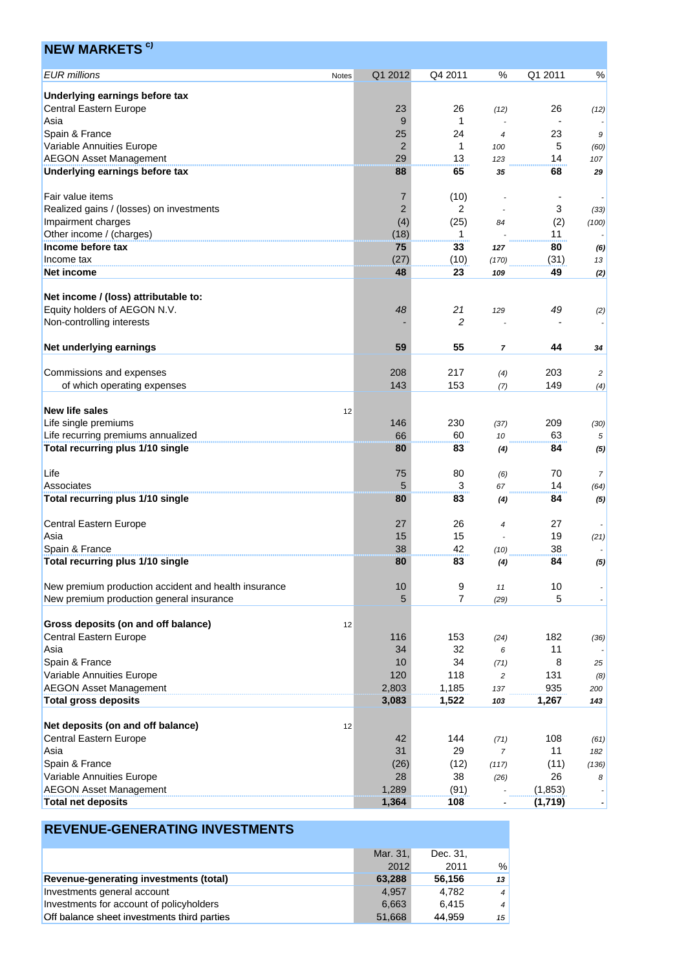| <b>NEW MARKETS <sup>c)</sup></b>                                |              |                |                |                |            |                |
|-----------------------------------------------------------------|--------------|----------------|----------------|----------------|------------|----------------|
| <b>EUR</b> millions                                             | <b>Notes</b> | Q1 2012        | Q4 2011        | %              | Q1 2011    | %              |
| Underlying earnings before tax                                  |              |                |                |                |            |                |
| <b>Central Eastern Europe</b>                                   |              | 23             | 26             | (12)           | 26         | (12)           |
| Asia                                                            |              | 9              | 1              |                |            |                |
| Spain & France                                                  |              | 25             | 24             | $\overline{4}$ | 23         | 9              |
| Variable Annuities Europe                                       |              | 2              | 1              | 100            | 5          | (60)           |
| <b>AEGON Asset Management</b><br>Underlying earnings before tax |              | 29<br>88       | 13<br>65       | 123            | 14<br>68   | 107            |
|                                                                 |              |                |                | 35             |            | 29             |
| Fair value items                                                |              | 7              | (10)           |                |            |                |
| Realized gains / (losses) on investments                        |              | $\overline{2}$ | 2              |                | 3          | (33)           |
| Impairment charges                                              |              | (4)            | (25)           | 84             | (2)        | (100)          |
| Other income / (charges)                                        |              | (18)           | 1              |                | 11         |                |
| Income before tax<br>Income tax                                 |              | 75<br>(27)     | 33<br>(10)     | 127            | 80         | (6)            |
| <b>Net income</b>                                               |              | 48             | 23             | (170)<br>109   | (31)<br>49 | 13<br>(2)      |
|                                                                 |              |                |                |                |            |                |
| Net income / (loss) attributable to:                            |              |                |                |                |            |                |
| Equity holders of AEGON N.V.                                    |              | 48             | 21             | 129            | 49         | (2)            |
| Non-controlling interests                                       |              |                | 2              |                |            |                |
| Net underlying earnings                                         |              | 59             | 55             | 7              | 44         | 34             |
|                                                                 |              |                |                |                |            |                |
| Commissions and expenses                                        |              | 208            | 217            | (4)            | 203        | 2              |
| of which operating expenses                                     |              | 143            | 153            | (7)            | 149        | (4)            |
|                                                                 |              |                |                |                |            |                |
| <b>New life sales</b><br>Life single premiums                   | 12           | 146            | 230            | (37)           | 209        |                |
| Life recurring premiums annualized                              |              | 66             | 60             | 10             | 63         | (30)<br>5      |
| Total recurring plus 1/10 single                                |              | 80             | 83             | (4)            | 84         | (5)            |
|                                                                 |              |                |                |                |            |                |
| Life                                                            |              | 75             | 80             | (6)            | 70         | $\overline{7}$ |
| Associates                                                      |              | 5              | 3              | 67             | 14         | (64)           |
| Total recurring plus 1/10 single                                |              | 80             | 83             | (4)            | 84         | (5)            |
| <b>Central Eastern Europe</b>                                   |              | 27             | 26             | $\overline{4}$ | 27         |                |
| Asia                                                            |              | 15             | 15             |                | 19         | (21)           |
| Spain & France                                                  |              | 38             | 42             | (10)           | 38         |                |
| Total recurring plus 1/10 single                                |              | 80             | 83             | (4)            | 84         | (5)            |
| New premium production accident and health insurance            |              | 10             | 9              | 11             | 10         |                |
| New premium production general insurance                        |              | 5              | $\overline{7}$ | (29)           | 5          |                |
|                                                                 |              |                |                |                |            |                |
| Gross deposits (on and off balance)                             | 12           |                |                |                |            |                |
| Central Eastern Europe                                          |              | 116            | 153            | (24)           | 182        | (36)           |
| Asia                                                            |              | 34             | 32             | 6              | 11         |                |
| Spain & France<br>Variable Annuities Europe                     |              | 10<br>120      | 34<br>118      | (71)           | 8<br>131   | 25             |
| <b>AEGON Asset Management</b>                                   |              | 2,803          | 1,185          | 2<br>137       | 935        | (8)<br>200     |
| <b>Total gross deposits</b>                                     |              | 3,083          | 1,522          | 103            | 1,267      | 143            |
|                                                                 |              |                |                |                |            |                |
| Net deposits (on and off balance)                               | 12           |                |                |                |            |                |
| Central Eastern Europe                                          |              | 42             | 144            | (71)           | 108        | (61)           |
| Asia                                                            |              | 31             | 29             | $\overline{7}$ | 11<br>(11) | 182            |
| Spain & France<br>Variable Annuities Europe                     |              | (26)<br>28     | (12)<br>38     | (117)<br>(26)  | 26         | (136)<br>8     |
| <b>AEGON Asset Management</b>                                   |              | 1,289          | (91)           |                | (1, 853)   |                |
| <b>Total net deposits</b>                                       |              | 1,364          | 108            |                | (1,719)    |                |

|                                             | Mar. 31, | Dec. 31. |                 |
|---------------------------------------------|----------|----------|-----------------|
|                                             | 2012     | 2011     | %               |
| Revenue-generating investments (total)      | 63.288   | 56.156   | 13              |
| Investments general account                 | 4.957    | 4.782    | $\vert 4 \vert$ |
| Investments for account of policyholders    | 6,663    | 6.415    | $4^{\circ}$     |
| Off balance sheet investments third parties | 51,668   | 44.959   | 15 <sup>1</sup> |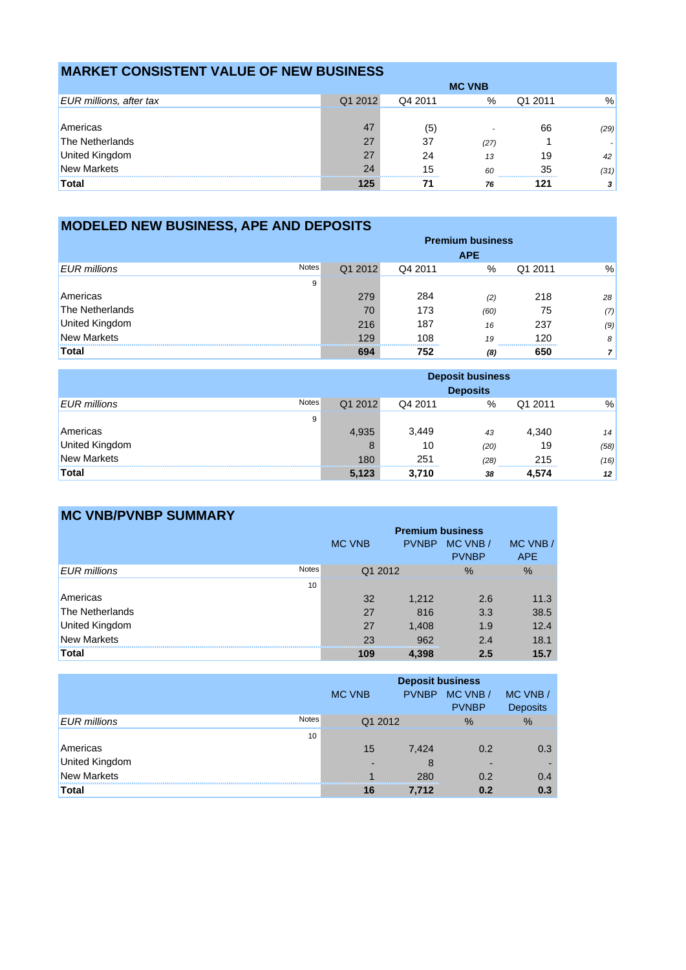# **MARKET CONSISTENT VALUE OF NEW BUSINESS**

|                                | <b>MC VNB</b> |         |      |         |      |
|--------------------------------|---------------|---------|------|---------|------|
| <b>EUR millions, after tax</b> | Q1 2012       | Q4 2011 | %    | Q1 2011 | %    |
|                                |               |         |      |         |      |
| Americas                       | 47            | (5)     |      | 66      | (29) |
| The Netherlands                | 27            | 37      | (27) |         |      |
| United Kingdom                 | 27            | 24      | 13   | 19      | 42   |
| <b>New Markets</b>             | 24<br>        | 15      | 60   | 35<br>  | (31) |
| <b>Total</b>                   | 125           |         | 76   | 121     |      |

| <b>MODELED NEW BUSINESS, APE AND DEPOSITS</b> |              |         |         |            |         |     |
|-----------------------------------------------|--------------|---------|---------|------------|---------|-----|
| <b>Premium business</b>                       |              |         |         |            |         |     |
|                                               |              |         |         | <b>APE</b> |         |     |
| <b>EUR</b> millions                           | <b>Notes</b> | Q1 2012 | Q4 2011 | $\%$       | Q1 2011 | %   |
|                                               | 9            |         |         |            |         |     |
| Americas                                      |              | 279     | 284     | (2)        | 218     | 28  |
| The Netherlands                               |              | 70      | 173     | (60)       | 75      | (7) |
| United Kingdom                                |              | 216     | 187     | 16         | 237     | (9) |
| <b>New Markets</b>                            |              | 129     | 108     | 19         | 120     | 8   |
| Total                                         |              | 694     | 752     | (8)        | 650     |     |

|                       |              | <b>Deposit business</b><br><b>Deposits</b> |         |      |         |      |
|-----------------------|--------------|--------------------------------------------|---------|------|---------|------|
| <b>EUR</b> millions   | <b>Notes</b> | Q1 2012                                    | Q4 2011 | %    | Q1 2011 | %    |
|                       | 9            |                                            |         |      |         |      |
| Americas              |              | 4,935                                      | 3.449   | 43   | 4,340   | 14   |
| <b>United Kingdom</b> |              | Ŏ                                          | 10      | (20) | 19      | (58) |
| <b>New Markets</b>    |              | 180                                        | 251     | (28) | 215     | (16) |
| Total                 |              | 5,123                                      | 3,710   | 38   | 4,574   | 12   |

| <b>MC VNB/PVNBP SUMMARY</b>         |                         |              |                          |                        |
|-------------------------------------|-------------------------|--------------|--------------------------|------------------------|
|                                     | <b>Premium business</b> |              |                          |                        |
|                                     | <b>MC VNB</b>           | <b>PVNBP</b> | MC VNB /<br><b>PVNBP</b> | MC VNB /<br><b>APE</b> |
| <b>Notes</b><br><b>EUR</b> millions | Q1 2012                 |              | $\%$                     | $\%$                   |
| 10                                  |                         |              |                          |                        |
| Americas                            | 32                      | 1,212        | 2.6                      | 11.3                   |
| <b>The Netherlands</b>              | 27                      | 816          | 3.3                      | 38.5                   |
| <b>United Kingdom</b>               | 27                      | 1,408        | 1.9                      | 12.4                   |
| New Markets                         | 23                      | 962          | 2.4                      | 18.1                   |
| <b>Total</b>                        | 109                     | 4,398        | 2.5                      | 15.7                   |

|                       |       | <b>Deposit business</b><br>MC VNB /<br><b>PVNBP</b><br>MC VNB /<br><b>MC VNB</b><br><b>PVNBP</b><br><b>Deposits</b> |       |      |               |
|-----------------------|-------|---------------------------------------------------------------------------------------------------------------------|-------|------|---------------|
| EUR millions          | Notes | Q1 2012                                                                                                             |       | $\%$ | $\frac{0}{0}$ |
|                       | 10    |                                                                                                                     |       |      |               |
| Americas              |       | 15                                                                                                                  | 7,424 | 0.2  | 0.3           |
| <b>United Kingdom</b> |       |                                                                                                                     | 8     |      |               |
| <b>New Markets</b>    |       |                                                                                                                     | 280   | 0.2  | 0.4           |
| <b>Total</b>          |       | 16                                                                                                                  | 7.712 | 0.2  | 0.3           |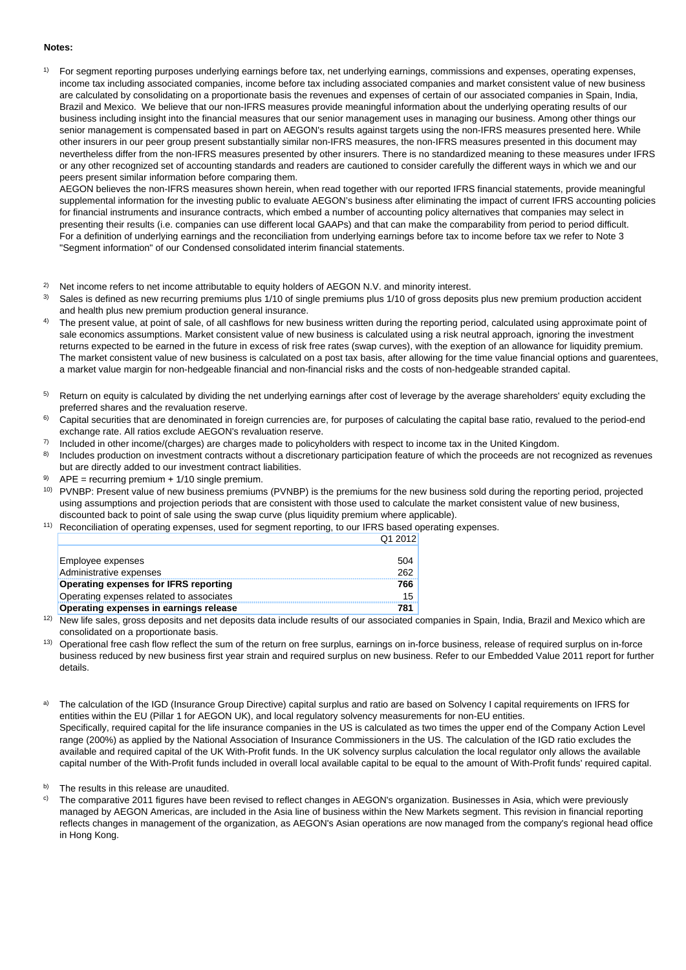#### **Notes:**

<sup>1)</sup> For segment reporting purposes underlying earnings before tax, net underlying earnings, commissions and expenses, operating expenses, income tax including associated companies, income before tax including associated companies and market consistent value of new business are calculated by consolidating on a proportionate basis the revenues and expenses of certain of our associated companies in Spain, India, Brazil and Mexico. We believe that our non-IFRS measures provide meaningful information about the underlying operating results of our business including insight into the financial measures that our senior management uses in managing our business. Among other things our senior management is compensated based in part on AEGON's results against targets using the non-IFRS measures presented here. While other insurers in our peer group present substantially similar non-IFRS measures, the non-IFRS measures presented in this document may nevertheless differ from the non-IFRS measures presented by other insurers. There is no standardized meaning to these measures under IFRS or any other recognized set of accounting standards and readers are cautioned to consider carefully the different ways in which we and our peers present similar information before comparing them.

AEGON believes the non-IFRS measures shown herein, when read together with our reported IFRS financial statements, provide meaningful supplemental information for the investing public to evaluate AEGON's business after eliminating the impact of current IFRS accounting policies for financial instruments and insurance contracts, which embed a number of accounting policy alternatives that companies may select in presenting their results (i.e. companies can use different local GAAPs) and that can make the comparability from period to period difficult. For a definition of underlying earnings and the reconciliation from underlying earnings before tax to income before tax we refer to Note 3 "Segment information" of our Condensed consolidated interim financial statements.

- <sup>2)</sup> Net income refers to net income attributable to equity holders of AEGON N.V. and minority interest.<br><sup>3)</sup> Sales is defined as new recurring premiums plus 1/10 of single premiums plus 1/10 of gross deposition
- Sales is defined as new recurring premiums plus 1/10 of single premiums plus 1/10 of gross deposits plus new premium production accident and health plus new premium production general insurance.
- <sup>4)</sup> The present value, at point of sale, of all cashflows for new business written during the reporting period, calculated using approximate point of sale economics assumptions. Market consistent value of new business is calculated using a risk neutral approach, ignoring the investment returns expected to be earned in the future in excess of risk free rates (swap curves), with the exeption of an allowance for liquidity premium. The market consistent value of new business is calculated on a post tax basis, after allowing for the time value financial options and guarentees, a market value margin for non-hedgeable financial and non-financial risks and the costs of non-hedgeable stranded capital.
- <sup>5)</sup> Return on equity is calculated by dividing the net underlying earnings after cost of leverage by the average shareholders' equity excluding the preferred shares and the revaluation reserve.
- <sup>6)</sup> Capital securities that are denominated in foreign currencies are, for purposes of calculating the capital base ratio, revalued to the period-end exchange rate. All ratios exclude AEGON's revaluation reserve.
- $7)$  Included in other income/(charges) are charges made to policyholders with respect to income tax in the United Kingdom.
- 8) Includes production on investment contracts without a discretionary participation feature of which the proceeds are not recognized as revenues but are directly added to our investment contract liabilities.
- <sup>9)</sup> APE = recurring premium + 1/10 single premium.
- 9) APE = recurring premium + 1/10 single premium.<br><sup>10)</sup> PVNBP: Present value of new business premiums (PVNBP) is the premiums for the new business sold during the reporting period, projected using assumptions and projection periods that are consistent with those used to calculate the market consistent value of new business, discounted back to point of sale using the swap curve (plus liquidity premium where applicable).

Q1 2012

<sup>11)</sup> Reconciliation of operating expenses, used for segment reporting, to our IFRS based operating expenses.

| Employee expenses                             | 504             |
|-----------------------------------------------|-----------------|
| Administrative expenses                       | 262             |
| <b>Operating expenses for IFRS reporting</b>  | 766             |
| Operating expenses related to associates      | 15 <sup>1</sup> |
| <b>Operating expenses in earnings release</b> | 781             |

<sup>12)</sup> New life sales, gross deposits and net deposits data include results of our associated companies in Spain, India, Brazil and Mexico which are consolidated on a proportionate basis.

<sup>13)</sup> Operational free cash flow reflect the sum of the return on free surplus, earnings on in-force business, release of required surplus on in-force business reduced by new business first year strain and required surplus on new business. Refer to our Embedded Value 2011 report for further details.

a) The calculation of the IGD (Insurance Group Directive) capital surplus and ratio are based on Solvency I capital requirements on IFRS for entities within the EU (Pillar 1 for AEGON UK), and local regulatory solvency measurements for non-EU entities. Specifically, required capital for the life insurance companies in the US is calculated as two times the upper end of the Company Action Level range (200%) as applied by the National Association of Insurance Commissioners in the US. The calculation of the IGD ratio excludes the available and required capital of the UK With-Profit funds. In the UK solvency surplus calculation the local regulator only allows the available capital number of the With-Profit funds included in overall local available capital to be equal to the amount of With-Profit funds' required capital.

b) The results in this release are unaudited.

c) The comparative 2011 figures have been revised to reflect changes in AEGON's organization. Businesses in Asia, which were previously managed by AEGON Americas, are included in the Asia line of business within the New Markets segment. This revision in financial reporting reflects changes in management of the organization, as AEGON's Asian operations are now managed from the company's regional head office in Hong Kong.